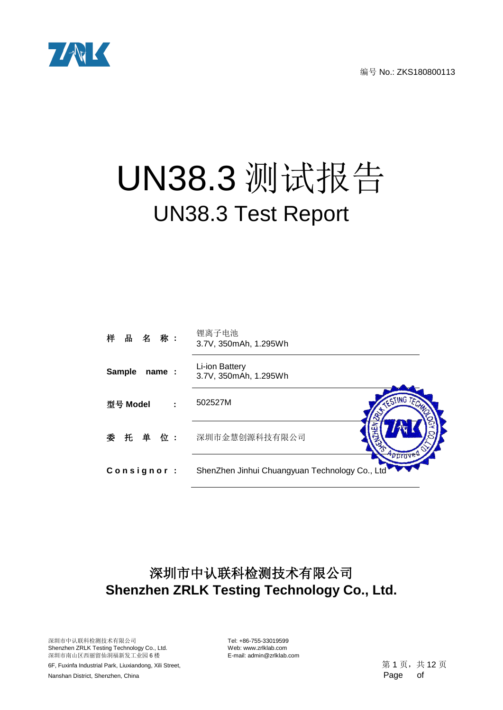

# UN38.3 测试报告 UN38.3 Test Report

| 样 品 名 称:                | 锂离子电池<br>3.7V, 350mAh, 1.295Wh                            |
|-------------------------|-----------------------------------------------------------|
| <b>Sample</b><br>name : | Li-ion Battery<br>3.7V, 350mAh, 1.295Wh                   |
| 型号 Model                | TESTING TECH<br>502527M                                   |
| 委 托 单 位:                | 深圳市金慧创源科技有限公司                                             |
| Consignor:              | peroved<br>ShenZhen Jinhui Chuangyuan Technology Co., Ltd |

# 深圳市中认联科检测技术有限公司 **Shenzhen ZRLK Testing Technology Co., Ltd.**

深圳市中认联科检测技术有限公司 Tel: +86-755-33019599 Shenzhen ZRLK Testing Technology Co., Ltd. Web: www.zrlklab.com<br>深圳市南山区西丽留仙洞福新发工业园 6 楼 E-mail: admin@zrlklab.com 深圳市南山区西丽留仙洞福新发工业园 6 楼

6F, Fuxinfa Industrial Park, Liuxiandong, Xili Street,  $\frac{1}{2}$  and  $\frac{1}{3}$  and  $\frac{1}{3}$  ,  $\frac{1}{4}$  12  $\frac{1}{5}$ Nanshan District, Shenzhen, China Page of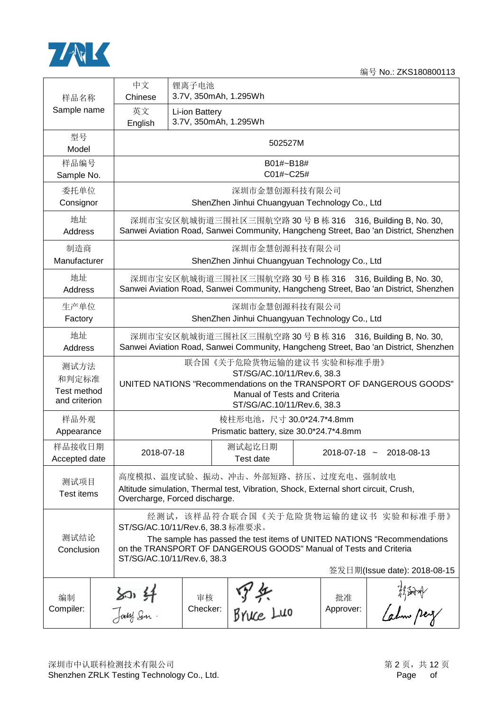

| 样品名称                                          | 中文<br>Chinese                                                                                                                                                                                                                                                                         | 锂离子电池<br>3.7V, 350mAh, 1.295Wh                                                                                                                            |                                                                                                                       |  |                    |                                                                                                                                                   |  |  |  |  |
|-----------------------------------------------|---------------------------------------------------------------------------------------------------------------------------------------------------------------------------------------------------------------------------------------------------------------------------------------|-----------------------------------------------------------------------------------------------------------------------------------------------------------|-----------------------------------------------------------------------------------------------------------------------|--|--------------------|---------------------------------------------------------------------------------------------------------------------------------------------------|--|--|--|--|
| Sample name                                   | 英文<br>English                                                                                                                                                                                                                                                                         | Li-ion Battery<br>3.7V, 350mAh, 1.295Wh                                                                                                                   |                                                                                                                       |  |                    |                                                                                                                                                   |  |  |  |  |
| 型号<br>Model                                   |                                                                                                                                                                                                                                                                                       | 502527M                                                                                                                                                   |                                                                                                                       |  |                    |                                                                                                                                                   |  |  |  |  |
| 样品编号<br>Sample No.                            |                                                                                                                                                                                                                                                                                       |                                                                                                                                                           | B01#~B18#<br>C01#~C25#                                                                                                |  |                    |                                                                                                                                                   |  |  |  |  |
| 委托单位<br>Consignor                             |                                                                                                                                                                                                                                                                                       |                                                                                                                                                           | 深圳市金慧创源科技有限公司<br>ShenZhen Jinhui Chuangyuan Technology Co., Ltd                                                       |  |                    |                                                                                                                                                   |  |  |  |  |
| 地址<br>Address                                 |                                                                                                                                                                                                                                                                                       |                                                                                                                                                           |                                                                                                                       |  |                    | 深圳市宝安区航城街道三围社区三围航空路 30 号 B 栋 316 316, Building B, No. 30,<br>Sanwei Aviation Road, Sanwei Community, Hangcheng Street, Bao 'an District, Shenzhen |  |  |  |  |
| 制造商<br>Manufacturer                           |                                                                                                                                                                                                                                                                                       |                                                                                                                                                           | 深圳市金慧创源科技有限公司<br>ShenZhen Jinhui Chuangyuan Technology Co., Ltd                                                       |  |                    |                                                                                                                                                   |  |  |  |  |
| 地址<br>Address                                 |                                                                                                                                                                                                                                                                                       |                                                                                                                                                           |                                                                                                                       |  |                    | 深圳市宝安区航城街道三围社区三围航空路 30 号 B 栋 316 316, Building B, No. 30,<br>Sanwei Aviation Road, Sanwei Community, Hangcheng Street, Bao 'an District, Shenzhen |  |  |  |  |
| 生产单位<br>Factory                               |                                                                                                                                                                                                                                                                                       | 深圳市金慧创源科技有限公司<br>ShenZhen Jinhui Chuangyuan Technology Co., Ltd                                                                                           |                                                                                                                       |  |                    |                                                                                                                                                   |  |  |  |  |
| 地址<br>Address                                 |                                                                                                                                                                                                                                                                                       | 深圳市宝安区航城街道三围社区三围航空路 30号 B 栋 316 316, Building B, No. 30,<br>Sanwei Aviation Road, Sanwei Community, Hangcheng Street, Bao 'an District, Shenzhen          |                                                                                                                       |  |                    |                                                                                                                                                   |  |  |  |  |
| 测试方法<br>和判定标准<br>Test method<br>and criterion |                                                                                                                                                                                                                                                                                       |                                                                                                                                                           | 联合国《关于危险货物运输的建议书 实验和标准手册》<br>ST/SG/AC.10/11/Rev.6, 38.3<br>Manual of Tests and Criteria<br>ST/SG/AC.10/11/Rev.6, 38.3 |  |                    | UNITED NATIONS "Recommendations on the TRANSPORT OF DANGEROUS GOODS"                                                                              |  |  |  |  |
| 样品外观<br>Appearance                            |                                                                                                                                                                                                                                                                                       |                                                                                                                                                           | 棱柱形电池, 尺寸 30.0*24.7*4.8mm<br>Prismatic battery, size 30.0*24.7*4.8mm                                                  |  |                    |                                                                                                                                                   |  |  |  |  |
| 样品接收日期<br>Accepted date                       | 2018-07-18                                                                                                                                                                                                                                                                            |                                                                                                                                                           | 测试起讫日期<br><b>Test date</b>                                                                                            |  | $2018 - 07 - 18$ ~ | 2018-08-13                                                                                                                                        |  |  |  |  |
| 测试项目<br>Test items                            |                                                                                                                                                                                                                                                                                       | 高度模拟、温度试验、振动、冲击、外部短路、挤压、过度充电、强制放电<br>Altitude simulation, Thermal test, Vibration, Shock, External short circuit, Crush,<br>Overcharge, Forced discharge. |                                                                                                                       |  |                    |                                                                                                                                                   |  |  |  |  |
| 测试结论<br>Conclusion                            | 经测试, 该样品符合联合国《关于危险货物运输的建议书 实验和标准手册》<br>ST/SG/AC.10/11/Rev.6, 38.3 标准要求。<br>The sample has passed the test items of UNITED NATIONS "Recommendations<br>on the TRANSPORT OF DANGEROUS GOODS" Manual of Tests and Criteria<br>ST/SG/AC.10/11/Rev.6, 38.3<br>签发日期(Issue date): 2018-08-15 |                                                                                                                                                           |                                                                                                                       |  |                    |                                                                                                                                                   |  |  |  |  |
| 编制<br>Compiler:                               | $\frac{20.41}{30}$                                                                                                                                                                                                                                                                    | 审核<br>Checker:                                                                                                                                            | №37 \$ <del>7</del><br>BYWC Luo                                                                                       |  | 批准<br>Approver:    | hijard<br>Lahm perz                                                                                                                               |  |  |  |  |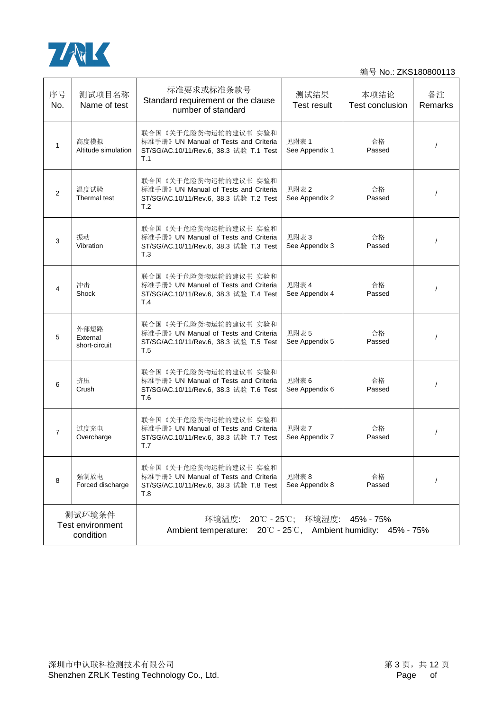

| 序号<br>No.                                                                                                                                       | 测试项目名称<br>Name of test            | 标准要求或标准条款号<br>Standard requirement or the clause<br>number of standard                                          | 测试结果<br>Test result     | 本项结论<br><b>Test conclusion</b> | 备注<br>Remarks |
|-------------------------------------------------------------------------------------------------------------------------------------------------|-----------------------------------|-----------------------------------------------------------------------------------------------------------------|-------------------------|--------------------------------|---------------|
| $\mathbf{1}$                                                                                                                                    | 高度模拟<br>Altitude simulation       | 联合国《关于危险货物运输的建议书 实验和<br>标准手册》 UN Manual of Tests and Criteria<br>ST/SG/AC.10/11/Rev.6, 38.3 试验 T.1 Test<br>T.1  | 见附表1<br>See Appendix 1  | 合格<br>Passed                   | $\prime$      |
| 2                                                                                                                                               | 温度试验<br>Thermal test              | 联合国《关于危险货物运输的建议书 实验和<br>标准手册》 UN Manual of Tests and Criteria<br>ST/SG/AC.10/11/Rev.6, 38.3 试验 T.2 Test<br>T.2  | 见附表 2<br>See Appendix 2 | 合格<br>Passed                   |               |
| 3                                                                                                                                               | 振动<br>Vibration                   | 联合国 《关于危险货物运输的建议书 实验和<br>标准手册》 UN Manual of Tests and Criteria<br>ST/SG/AC.10/11/Rev.6, 38.3 试验 T.3 Test<br>T.3 | 见附表 3<br>See Appendix 3 | 合格<br>Passed                   | $\prime$      |
| 4                                                                                                                                               | 冲击<br>Shock                       | 联合国《关于危险货物运输的建议书 实验和<br>标准手册》 UN Manual of Tests and Criteria<br>ST/SG/AC.10/11/Rev.6, 38.3 试验 T.4 Test<br>T.4  | 见附表 4<br>See Appendix 4 | 合格<br>Passed                   |               |
| 5                                                                                                                                               | 外部短路<br>External<br>short-circuit | 联合国《关于危险货物运输的建议书 实验和<br>标准手册》 UN Manual of Tests and Criteria<br>ST/SG/AC.10/11/Rev.6, 38.3 试验 T.5 Test<br>T.5  | 见附表 5<br>See Appendix 5 | 合格<br>Passed                   |               |
| 6                                                                                                                                               | 挤压<br>Crush                       | 联合国《关于危险货物运输的建议书 实验和<br>标准手册》 UN Manual of Tests and Criteria<br>ST/SG/AC.10/11/Rev.6, 38.3 试验 T.6 Test<br>T.6  | 见附表6<br>See Appendix 6  | 合格<br>Passed                   |               |
| $\overline{7}$                                                                                                                                  | 过度充电<br>Overcharge                | 联合国《关于危险货物运输的建议书 实验和<br>标准手册》 UN Manual of Tests and Criteria<br>ST/SG/AC.10/11/Rev.6, 38.3 试验 T.7 Test<br>T.7  | 见附表 7<br>See Appendix 7 | 合格<br>Passed                   |               |
| 8                                                                                                                                               | 强制放电<br>Forced discharge          | 联合国 《关于危险货物运输的建议书 实验和<br>标准手册》 UN Manual of Tests and Criteria<br>ST/SG/AC.10/11/Rev.6, 38.3 试验 T.8 Test<br>T.8 | 见附表8<br>See Appendix 8  | 合格<br>Passed                   |               |
| 测试环境条件<br>环境温度: 20℃ - 25℃; 环境湿度:<br>45% - 75%<br>Test environment<br>Ambient temperature: 20°C - 25°C, Ambient humidity: 45% - 75%<br>condition |                                   |                                                                                                                 |                         |                                |               |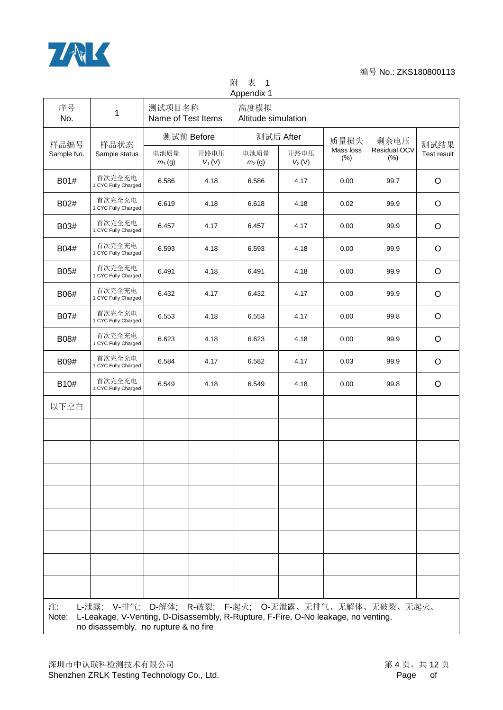

附 表 1

| Appendix 1         |                                                                                                                                                                                   |                              |                  |                             |                  |                     |                      |                     |  |
|--------------------|-----------------------------------------------------------------------------------------------------------------------------------------------------------------------------------|------------------------------|------------------|-----------------------------|------------------|---------------------|----------------------|---------------------|--|
| 序号<br>No.          | 1                                                                                                                                                                                 | 测试项目名称<br>Name of Test Items |                  | 高度模拟<br>Altitude simulation |                  |                     |                      |                     |  |
|                    | 样品状态                                                                                                                                                                              | 测试前 Before                   |                  | 测试后 After                   |                  | 质量损失                | 剩余电压                 |                     |  |
| 样品编号<br>Sample No. | Sample status                                                                                                                                                                     | 电池质量<br>$m_1(g)$             | 开路电压<br>$V_1(V)$ | 电池质量<br>m <sub>2</sub> (g)  | 开路电压<br>$V_2(V)$ | Mass loss<br>$(\%)$ | Residual OCV<br>(% ) | 测试结果<br>Test result |  |
| B01#               | 首次完全充电<br>1 CYC Fully Charged                                                                                                                                                     | 6.586                        | 4.18             | 6.586                       | 4.17             | 0.00                | 99.7                 | $\circ$             |  |
| B02#               | 首次完全充电<br>1 CYC Fully Charged                                                                                                                                                     | 6.619                        | 4.18             | 6.618                       | 4.18             | 0.02                | 99.9                 | $\circ$             |  |
| B03#               | 首次完全充电<br>1 CYC Fully Charged                                                                                                                                                     | 6.457                        | 4.17             | 6.457                       | 4.17             | 0.00                | 99.9                 | $\circ$             |  |
| B04#               | 首次完全充电<br>1 CYC Fully Charged                                                                                                                                                     | 6.593                        | 4.18             | 6.593                       | 4.18             | 0.00                | 99.9                 | $\circ$             |  |
| B05#               | 首次完全充电<br>1 CYC Fully Charged                                                                                                                                                     | 6.491                        | 4.18             | 6.491                       | 4.18             | 0.00                | 99.9                 | $\circ$             |  |
| B06#               | 首次完全充电<br>1 CYC Fully Charged                                                                                                                                                     | 6.432                        | 4.17             | 6.432                       | 4.17             | 0.00                | 99.9                 | $\circ$             |  |
| B07#               | 首次完全充电<br>1 CYC Fully Charged                                                                                                                                                     | 6.553                        | 4.18             | 6.553                       | 4.17             | 0.00                | 99.8                 | $\circ$             |  |
| B08#               | 首次完全充电<br>1 CYC Fully Charged                                                                                                                                                     | 6.623                        | 4.18             | 6.623                       | 4.18             | 0.00                | 99.9                 | $\circ$             |  |
| B09#               | 首次完全充电<br>1 CYC Fully Charged                                                                                                                                                     | 6.584                        | 4.17             | 6.582                       | 4.17             | 0.03                | 99.9                 | $\circ$             |  |
| B10#               | 首次完全充电<br>1 CYC Fully Charged                                                                                                                                                     | 6.549                        | 4.18             | 6.549                       | 4.18             | 0.00                | 99.8                 | $\circ$             |  |
| 以下空白               |                                                                                                                                                                                   |                              |                  |                             |                  |                     |                      |                     |  |
|                    |                                                                                                                                                                                   |                              |                  |                             |                  |                     |                      |                     |  |
|                    |                                                                                                                                                                                   |                              |                  |                             |                  |                     |                      |                     |  |
|                    |                                                                                                                                                                                   |                              |                  |                             |                  |                     |                      |                     |  |
|                    |                                                                                                                                                                                   |                              |                  |                             |                  |                     |                      |                     |  |
|                    |                                                                                                                                                                                   |                              |                  |                             |                  |                     |                      |                     |  |
|                    |                                                                                                                                                                                   |                              |                  |                             |                  |                     |                      |                     |  |
|                    |                                                                                                                                                                                   |                              |                  |                             |                  |                     |                      |                     |  |
|                    |                                                                                                                                                                                   |                              |                  |                             |                  |                     |                      |                     |  |
| 注:<br>Note:        | L-泄露; Ⅴ-排气; D-解体; R-破裂; F-起火; O-无泄露、无排气、无解体、无破裂、无起火。<br>L-Leakage, V-Venting, D-Disassembly, R-Rupture, F-Fire, O-No leakage, no venting,<br>no disassembly, no rupture & no fire |                              |                  |                             |                  |                     |                      |                     |  |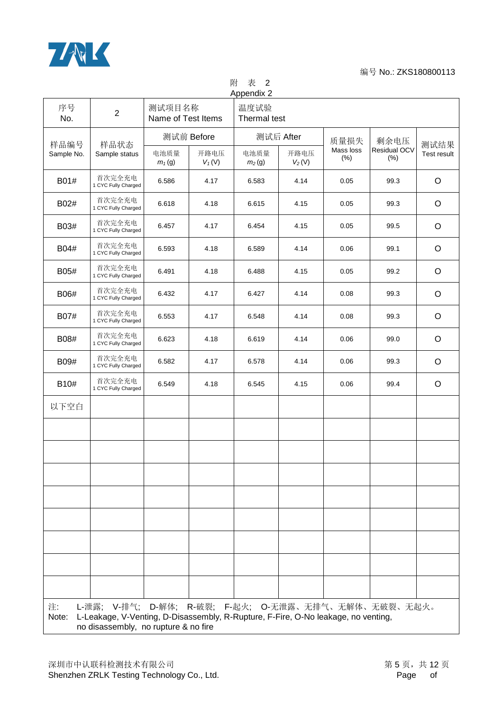

## 附 表 2

| 序号<br>No.   | $\overline{2}$                |                  | Appendix 2<br>测试项目名称<br>温度试验<br>Name of Test Items<br>Thermal test |                            |                  |                   |                        |                                                                                                                                                                                   |  |  |  |  |  |  |  |  |
|-------------|-------------------------------|------------------|--------------------------------------------------------------------|----------------------------|------------------|-------------------|------------------------|-----------------------------------------------------------------------------------------------------------------------------------------------------------------------------------|--|--|--|--|--|--|--|--|
| 样品编号        | 样品状态                          |                  | 测试前 Before                                                         |                            | 测试后 After        | 质量损失              | 剩余电压                   | 测试结果                                                                                                                                                                              |  |  |  |  |  |  |  |  |
| Sample No.  | Sample status                 | 电池质量<br>$m_1(g)$ | 开路电压<br>$V_1(V)$                                                   | 电池质量<br>m <sub>2</sub> (g) | 开路电压<br>$V_2(V)$ | Mass loss<br>(% ) | Residual OCV<br>$(\%)$ | Test result                                                                                                                                                                       |  |  |  |  |  |  |  |  |
| B01#        | 首次完全充电<br>1 CYC Fully Charged | 6.586            | 4.17                                                               | 6.583                      | 4.14             | 0.05              | 99.3                   | $\circ$                                                                                                                                                                           |  |  |  |  |  |  |  |  |
| B02#        | 首次完全充电<br>1 CYC Fully Charged | 6.618            | 4.18                                                               | 6.615                      | 4.15             | 0.05              | 99.3                   | O                                                                                                                                                                                 |  |  |  |  |  |  |  |  |
| B03#        | 首次完全充电<br>1 CYC Fully Charged | 6.457            | 4.17                                                               | 6.454                      | 4.15             | 0.05              | 99.5                   | O                                                                                                                                                                                 |  |  |  |  |  |  |  |  |
| B04#        | 首次完全充电<br>1 CYC Fully Charged | 6.593            | 4.18                                                               | 6.589                      | 4.14             | 0.06              | 99.1                   | $\circ$                                                                                                                                                                           |  |  |  |  |  |  |  |  |
| B05#        | 首次完全充电<br>1 CYC Fully Charged | 6.491            | 4.18                                                               | 6.488                      | 4.15             | 0.05              | 99.2                   | $\circ$                                                                                                                                                                           |  |  |  |  |  |  |  |  |
| B06#        | 首次完全充电<br>1 CYC Fully Charged | 6.432            | 4.17                                                               | 6.427                      | 4.14             | 0.08              | 99.3                   | $\circ$                                                                                                                                                                           |  |  |  |  |  |  |  |  |
| B07#        | 首次完全充电<br>1 CYC Fully Charged | 6.553            | 4.17                                                               | 6.548                      | 4.14             | 0.08              | 99.3                   | O                                                                                                                                                                                 |  |  |  |  |  |  |  |  |
| B08#        | 首次完全充电<br>1 CYC Fully Charged | 6.623            | 4.18                                                               | 6.619                      | 4.14             | 0.06              | 99.0                   | O                                                                                                                                                                                 |  |  |  |  |  |  |  |  |
| B09#        | 首次完全充电<br>1 CYC Fully Charged | 6.582            | 4.17                                                               | 6.578                      | 4.14             | 0.06              | 99.3                   | O                                                                                                                                                                                 |  |  |  |  |  |  |  |  |
| B10#        | 首次完全充电<br>1 CYC Fully Charged | 6.549            | 4.18                                                               | 6.545                      | 4.15             | 0.06              | 99.4                   | $\circ$                                                                                                                                                                           |  |  |  |  |  |  |  |  |
| 以下空白        |                               |                  |                                                                    |                            |                  |                   |                        |                                                                                                                                                                                   |  |  |  |  |  |  |  |  |
|             |                               |                  |                                                                    |                            |                  |                   |                        |                                                                                                                                                                                   |  |  |  |  |  |  |  |  |
|             |                               |                  |                                                                    |                            |                  |                   |                        |                                                                                                                                                                                   |  |  |  |  |  |  |  |  |
|             |                               |                  |                                                                    |                            |                  |                   |                        |                                                                                                                                                                                   |  |  |  |  |  |  |  |  |
|             |                               |                  |                                                                    |                            |                  |                   |                        |                                                                                                                                                                                   |  |  |  |  |  |  |  |  |
|             |                               |                  |                                                                    |                            |                  |                   |                        |                                                                                                                                                                                   |  |  |  |  |  |  |  |  |
|             |                               |                  |                                                                    |                            |                  |                   |                        |                                                                                                                                                                                   |  |  |  |  |  |  |  |  |
|             |                               |                  |                                                                    |                            |                  |                   |                        |                                                                                                                                                                                   |  |  |  |  |  |  |  |  |
|             |                               |                  |                                                                    |                            |                  |                   |                        |                                                                                                                                                                                   |  |  |  |  |  |  |  |  |
| 注:<br>Note: |                               |                  |                                                                    |                            |                  |                   |                        | L-泄露; Ⅴ-排气; D-解体; R-破裂; F-起火; O-无泄露、无排气、无解体、无破裂、无起火。<br>L-Leakage, V-Venting, D-Disassembly, R-Rupture, F-Fire, O-No leakage, no venting,<br>no disassembly, no rupture & no fire |  |  |  |  |  |  |  |  |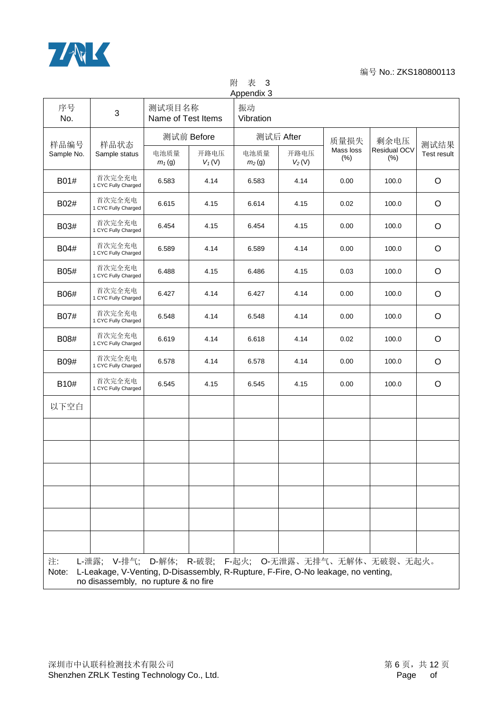

附 表 3 Appendix 3

| 序号<br>No.   | 3                                                                                                                                  | 测试项目名称<br>Name of Test Items |                  | 振动<br>Vibration            |                  |                      |                                                |             |
|-------------|------------------------------------------------------------------------------------------------------------------------------------|------------------------------|------------------|----------------------------|------------------|----------------------|------------------------------------------------|-------------|
| 样品编号        | 样品状态                                                                                                                               | 测试前 Before                   |                  |                            | 测试后 After        | 质量损失                 | 剩余电压                                           | 测试结果        |
| Sample No.  | Sample status                                                                                                                      | 电池质量<br>$m_1(g)$             | 开路电压<br>$V_1(V)$ | 电池质量<br>m <sub>2</sub> (g) | 开路电压<br>$V_2(V)$ | Mass loss<br>$(\% )$ | Residual OCV<br>(% )                           | Test result |
| B01#        | 首次完全充电<br>1 CYC Fully Charged                                                                                                      | 6.583                        | 4.14             | 6.583                      | 4.14             | 0.00                 | 100.0                                          | $\circ$     |
| B02#        | 首次完全充电<br>1 CYC Fully Charged                                                                                                      | 6.615                        | 4.15             | 6.614                      | 4.15             | 0.02                 | 100.0                                          | O           |
| B03#        | 首次完全充电<br>1 CYC Fully Charged                                                                                                      | 6.454                        | 4.15             | 6.454                      | 4.15             | 0.00                 | 100.0                                          | $\circ$     |
| B04#        | 首次完全充电<br>1 CYC Fully Charged                                                                                                      | 6.589                        | 4.14             | 6.589                      | 4.14             | 0.00                 | 100.0                                          | $\circ$     |
| B05#        | 首次完全充电<br>1 CYC Fully Charged                                                                                                      | 6.488                        | 4.15             | 6.486                      | 4.15             | 0.03                 | 100.0                                          | $\circ$     |
| B06#        | 首次完全充电<br>1 CYC Fully Charged                                                                                                      | 6.427                        | 4.14             | 6.427                      | 4.14             | 0.00                 | 100.0                                          | $\circ$     |
| B07#        | 首次完全充电<br>1 CYC Fully Charged                                                                                                      | 6.548                        | 4.14             | 6.548                      | 4.14             | 0.00                 | 100.0                                          | $\circ$     |
| B08#        | 首次完全充电<br>1 CYC Fully Charged                                                                                                      | 6.619                        | 4.14             | 6.618                      | 4.14             | 0.02                 | 100.0                                          | $\circ$     |
| B09#        | 首次完全充电<br>1 CYC Fully Charged                                                                                                      | 6.578                        | 4.14             | 6.578                      | 4.14             | 0.00                 | 100.0                                          | $\circ$     |
| B10#        | 首次完全充电<br>1 CYC Fully Charged                                                                                                      | 6.545                        | 4.15             | 6.545                      | 4.15             | 0.00                 | 100.0                                          | $\circ$     |
| 以下空白        |                                                                                                                                    |                              |                  |                            |                  |                      |                                                |             |
|             |                                                                                                                                    |                              |                  |                            |                  |                      |                                                |             |
|             |                                                                                                                                    |                              |                  |                            |                  |                      |                                                |             |
|             |                                                                                                                                    |                              |                  |                            |                  |                      |                                                |             |
|             |                                                                                                                                    |                              |                  |                            |                  |                      |                                                |             |
|             |                                                                                                                                    |                              |                  |                            |                  |                      |                                                |             |
|             |                                                                                                                                    |                              |                  |                            |                  |                      |                                                |             |
| 注:<br>Note: | L-泄露;<br>L-Leakage, V-Venting, D-Disassembly, R-Rupture, F-Fire, O-No leakage, no venting,<br>no disassembly, no rupture & no fire |                              |                  |                            |                  |                      | V-排气; D-解体; R-破裂; F-起火; O-无泄露、无排气、无解体、无破裂、无起火。 |             |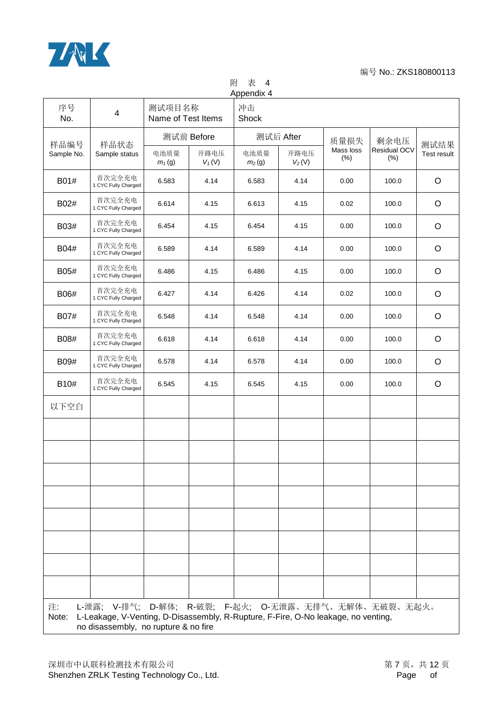

附 表 4 Appendix 4

| 序号<br>No.   | $\overline{\mathbf{4}}$                                                                                                                                                           | 测试项目名称<br>Name of Test Items |                  | Appendix +<br>冲击<br>Shock  |                  |                      |                         |             |  |
|-------------|-----------------------------------------------------------------------------------------------------------------------------------------------------------------------------------|------------------------------|------------------|----------------------------|------------------|----------------------|-------------------------|-------------|--|
| 样品编号        | 样品状态                                                                                                                                                                              |                              | 测试前 Before       |                            | 测试后 After        | 质量损失                 | 剩余电压                    | 测试结果        |  |
| Sample No.  | Sample status                                                                                                                                                                     | 电池质量<br>$m_1(g)$             | 开路电压<br>$V_1(V)$ | 电池质量<br>m <sub>2</sub> (g) | 开路电压<br>$V_2(V)$ | Mass loss<br>$(\% )$ | Residual OCV<br>$(\% )$ | Test result |  |
| B01#        | 首次完全充电<br>1 CYC Fully Charged                                                                                                                                                     | 6.583                        | 4.14             | 6.583                      | 4.14             | 0.00                 | 100.0                   | $\circ$     |  |
| B02#        | 首次完全充电<br>1 CYC Fully Charged                                                                                                                                                     | 6.614                        | 4.15             | 6.613                      | 4.15             | 0.02                 | 100.0                   | O           |  |
| B03#        | 首次完全充电<br>1 CYC Fully Charged                                                                                                                                                     | 6.454                        | 4.15             | 6.454                      | 4.15             | 0.00                 | 100.0                   | O           |  |
| B04#        | 首次完全充电<br>1 CYC Fully Charged                                                                                                                                                     | 6.589                        | 4.14             | 6.589                      | 4.14             | 0.00                 | 100.0                   | $\circ$     |  |
| B05#        | 首次完全充电<br>1 CYC Fully Charged                                                                                                                                                     | 6.486                        | 4.15             | 6.486                      | 4.15             | 0.00                 | 100.0                   | $\circ$     |  |
| B06#        | 首次完全充电<br>1 CYC Fully Charged                                                                                                                                                     | 6.427                        | 4.14             | 6.426                      | 4.14             | 0.02                 | 100.0                   | $\circ$     |  |
| B07#        | 首次完全充电<br>1 CYC Fully Charged                                                                                                                                                     | 6.548                        | 4.14             | 6.548                      | 4.14             | 0.00                 | 100.0                   | $\circ$     |  |
| B08#        | 首次完全充电<br>1 CYC Fully Charged                                                                                                                                                     | 6.618                        | 4.14             | 6.618                      | 4.14             | 0.00                 | 100.0                   | $\circ$     |  |
| B09#        | 首次完全充电<br>1 CYC Fully Charged                                                                                                                                                     | 6.578                        | 4.14             | 6.578                      | 4.14             | 0.00                 | 100.0                   | $\circ$     |  |
| B10#        | 首次完全充电<br>1 CYC Fully Charged                                                                                                                                                     | 6.545                        | 4.15             | 6.545                      | 4.15             | 0.00                 | 100.0                   | $\circ$     |  |
| 以下空白        |                                                                                                                                                                                   |                              |                  |                            |                  |                      |                         |             |  |
|             |                                                                                                                                                                                   |                              |                  |                            |                  |                      |                         |             |  |
|             |                                                                                                                                                                                   |                              |                  |                            |                  |                      |                         |             |  |
|             |                                                                                                                                                                                   |                              |                  |                            |                  |                      |                         |             |  |
|             |                                                                                                                                                                                   |                              |                  |                            |                  |                      |                         |             |  |
|             |                                                                                                                                                                                   |                              |                  |                            |                  |                      |                         |             |  |
|             |                                                                                                                                                                                   |                              |                  |                            |                  |                      |                         |             |  |
|             |                                                                                                                                                                                   |                              |                  |                            |                  |                      |                         |             |  |
|             |                                                                                                                                                                                   |                              |                  |                            |                  |                      |                         |             |  |
| 注:<br>Note: | L-泄露; Ⅴ-排气; D-解体; R-破裂; F-起火; O-无泄露、无排气、无解体、无破裂、无起火。<br>L-Leakage, V-Venting, D-Disassembly, R-Rupture, F-Fire, O-No leakage, no venting,<br>no disassembly, no rupture & no fire |                              |                  |                            |                  |                      |                         |             |  |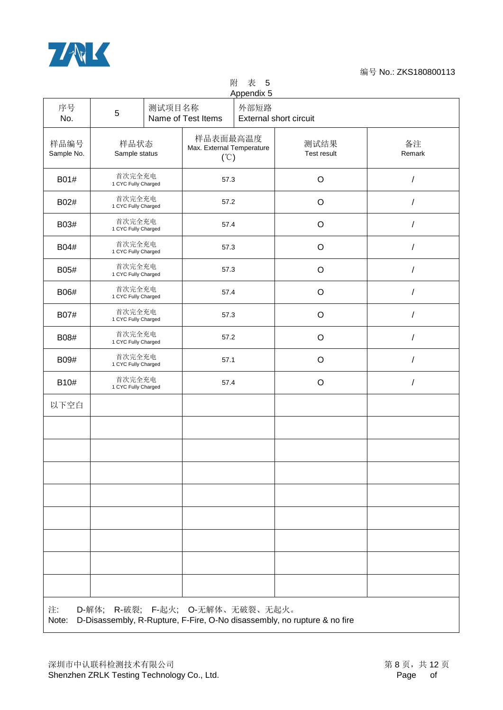

## 附 表 5

| Appendix 5         |                                           |  |                                               |  |                                                                          |                      |  |  |             |   |
|--------------------|-------------------------------------------|--|-----------------------------------------------|--|--------------------------------------------------------------------------|----------------------|--|--|-------------|---|
| 序号<br>No.          | 外部短路<br>测试项目名称<br>5<br>Name of Test Items |  |                                               |  | <b>External short circuit</b>                                            |                      |  |  |             |   |
| 样品编号<br>Sample No. | 样品状态<br>Sample status                     |  | 样品表面最高温度<br>Max. External Temperature<br>(°C) |  | 测试结果<br>Test result                                                      | 备注<br>Remark         |  |  |             |   |
| B01#               | 首次完全充电<br>1 CYC Fully Charged             |  | 57.3                                          |  | $\mathsf O$                                                              | $\sqrt{2}$           |  |  |             |   |
| B02#               | 首次完全充电<br>1 CYC Fully Charged             |  | 57.2                                          |  | $\mathsf O$                                                              | 1                    |  |  |             |   |
| B03#               | 首次完全充电<br>1 CYC Fully Charged             |  | 57.4                                          |  | $\circ$                                                                  | /                    |  |  |             |   |
| B04#               | 首次完全充电<br>1 CYC Fully Charged             |  | 57.3                                          |  | $\circ$                                                                  | 1                    |  |  |             |   |
| B05#               | 首次完全充电<br>1 CYC Fully Charged             |  | 57.3                                          |  | $\mathsf O$                                                              | $\sqrt{2}$           |  |  |             |   |
| B06#               | 首次完全充电<br>1 CYC Fully Charged             |  | 57.4                                          |  | $\mathsf O$                                                              | $\sqrt{\phantom{a}}$ |  |  |             |   |
| B07#               | 首次完全充电<br>1 CYC Fully Charged             |  | 57.3                                          |  | $\circ$                                                                  | $\sqrt{2}$           |  |  |             |   |
| B08#               | 首次完全充电<br>1 CYC Fully Charged             |  |                                               |  | 57.2                                                                     |                      |  |  | $\mathsf O$ | / |
| B09#               | 首次完全充电<br>1 CYC Fully Charged             |  | 57.1                                          |  | $\mathsf O$                                                              | Ι                    |  |  |             |   |
| B10#               | 首次完全充电<br>1 CYC Fully Charged             |  | 57.4                                          |  | $\mathsf O$                                                              | $\sqrt{2}$           |  |  |             |   |
| 以下空白               |                                           |  |                                               |  |                                                                          |                      |  |  |             |   |
|                    |                                           |  |                                               |  |                                                                          |                      |  |  |             |   |
|                    |                                           |  |                                               |  |                                                                          |                      |  |  |             |   |
|                    |                                           |  |                                               |  |                                                                          |                      |  |  |             |   |
|                    |                                           |  |                                               |  |                                                                          |                      |  |  |             |   |
|                    |                                           |  |                                               |  |                                                                          |                      |  |  |             |   |
|                    |                                           |  |                                               |  |                                                                          |                      |  |  |             |   |
|                    |                                           |  |                                               |  |                                                                          |                      |  |  |             |   |
|                    |                                           |  |                                               |  |                                                                          |                      |  |  |             |   |
| 注:<br>Note:        | D-解体; R-破裂; F-起火; O-无解体、无破裂、无起火。          |  |                                               |  | D-Disassembly, R-Rupture, F-Fire, O-No disassembly, no rupture & no fire |                      |  |  |             |   |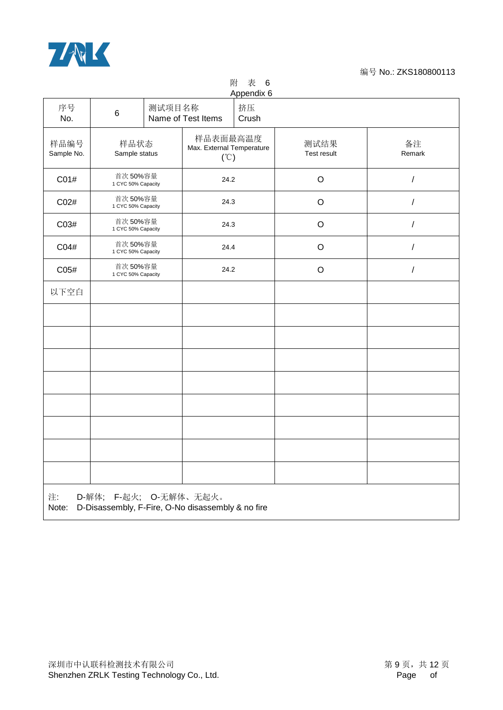

附 表 6

| Appendix 6         |                                                                                |                               |                                               |             |                     |                      |  |  |
|--------------------|--------------------------------------------------------------------------------|-------------------------------|-----------------------------------------------|-------------|---------------------|----------------------|--|--|
| 序号<br>No.          | $6\phantom{a}$                                                                 | 测试项目名称                        | Name of Test Items                            | 挤压<br>Crush |                     |                      |  |  |
| 样品编号<br>Sample No. | 样品状态<br>Sample status                                                          |                               | 样品表面最高温度<br>Max. External Temperature<br>(°C) |             | 测试结果<br>Test result | 备注<br>Remark         |  |  |
| C01#               | 首次50%容量<br>1 CYC 50% Capacity                                                  |                               | 24.2                                          |             | $\mathsf O$         | $\sqrt{\phantom{a}}$ |  |  |
| C02#               |                                                                                | 首次50%容量<br>1 CYC 50% Capacity |                                               | 24.3        | $\hbox{O}$          | $\sqrt{2}$           |  |  |
| C03#               | 首次 50%容量<br>1 CYC 50% Capacity                                                 |                               | 24.3                                          |             | $\hbox{O}$          | $\sqrt{\phantom{a}}$ |  |  |
| C04#               | 首次 50%容量<br>1 CYC 50% Capacity                                                 |                               | 24.4                                          |             | $\mathsf O$         | $\sqrt{2}$           |  |  |
| C05#               |                                                                                | 首次50%容量<br>1 CYC 50% Capacity |                                               | 24.2        | $\mathsf O$         | $\sqrt{\phantom{a}}$ |  |  |
| 以下空白               |                                                                                |                               |                                               |             |                     |                      |  |  |
|                    |                                                                                |                               |                                               |             |                     |                      |  |  |
|                    |                                                                                |                               |                                               |             |                     |                      |  |  |
|                    |                                                                                |                               |                                               |             |                     |                      |  |  |
|                    |                                                                                |                               |                                               |             |                     |                      |  |  |
|                    |                                                                                |                               |                                               |             |                     |                      |  |  |
|                    |                                                                                |                               |                                               |             |                     |                      |  |  |
|                    |                                                                                |                               |                                               |             |                     |                      |  |  |
|                    |                                                                                |                               |                                               |             |                     |                      |  |  |
| 注:<br>Note:        | F-起火; O-无解体、无起火。<br>D-解体;<br>D-Disassembly, F-Fire, O-No disassembly & no fire |                               |                                               |             |                     |                      |  |  |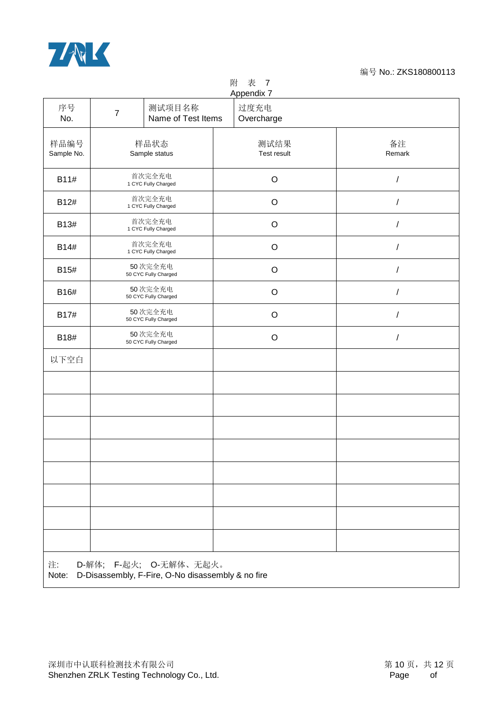

### 附 表 7

|                    | Appendix 7                                                                  |                         |                      |  |  |  |  |  |  |
|--------------------|-----------------------------------------------------------------------------|-------------------------|----------------------|--|--|--|--|--|--|
| 序号<br>No.          | 测试项目名称<br>$\overline{7}$<br>Name of Test Items                              | 过度充电<br>Overcharge      |                      |  |  |  |  |  |  |
| 样品编号<br>Sample No. | 样品状态<br>Sample status                                                       | 测试结果<br>Test result     | 备注<br>Remark         |  |  |  |  |  |  |
| B11#               | 首次完全充电<br>1 CYC Fully Charged                                               | $\circ$                 | I                    |  |  |  |  |  |  |
| B12#               | 首次完全充电<br>1 CYC Fully Charged                                               | $\mathsf O$             | $\sqrt{\phantom{a}}$ |  |  |  |  |  |  |
| B13#               | 首次完全充电<br>1 CYC Fully Charged                                               | $\mathsf O$             | 7                    |  |  |  |  |  |  |
| B14#               | 首次完全充电<br>1 CYC Fully Charged                                               | $\circ$                 | /                    |  |  |  |  |  |  |
| B15#               | 50次完全充电<br>50 CYC Fully Charged                                             | $\circ$                 |                      |  |  |  |  |  |  |
| B16#               | 50次完全充电<br>50 CYC Fully Charged                                             | $\mathsf O$             | /                    |  |  |  |  |  |  |
| B17#               | 50次完全充电<br>50 CYC Fully Charged                                             | $\circ$                 | $\prime$             |  |  |  |  |  |  |
| B18#               | 50次完全充电<br>50 CYC Fully Charged                                             | $\mathsf O$<br>$\prime$ |                      |  |  |  |  |  |  |
| 以下空白               |                                                                             |                         |                      |  |  |  |  |  |  |
|                    |                                                                             |                         |                      |  |  |  |  |  |  |
|                    |                                                                             |                         |                      |  |  |  |  |  |  |
|                    |                                                                             |                         |                      |  |  |  |  |  |  |
|                    |                                                                             |                         |                      |  |  |  |  |  |  |
|                    |                                                                             |                         |                      |  |  |  |  |  |  |
|                    |                                                                             |                         |                      |  |  |  |  |  |  |
|                    |                                                                             |                         |                      |  |  |  |  |  |  |
|                    |                                                                             |                         |                      |  |  |  |  |  |  |
| 注:<br>Note:        | D-解体; F-起火; O-无解体、无起火。<br>D-Disassembly, F-Fire, O-No disassembly & no fire |                         |                      |  |  |  |  |  |  |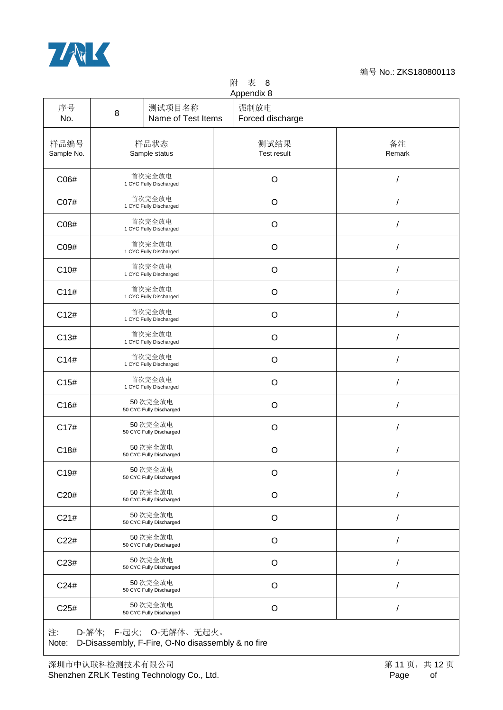

## 附 表 8

| 序号<br>No.          | 8 | 测试项目名称<br>Name of Test Items       | Appendix 8<br>强制放电<br>Forced discharge |              |
|--------------------|---|------------------------------------|----------------------------------------|--------------|
| 样品编号<br>Sample No. |   | 样品状态<br>Sample status              | 测试结果<br>Test result                    | 备注<br>Remark |
| C06#               |   | 首次完全放电<br>1 CYC Fully Discharged   | O                                      |              |
| C07#               |   | 首次完全放电<br>1 CYC Fully Discharged   | $\circ$                                |              |
| C08#               |   | 首次完全放电<br>1 CYC Fully Discharged   | $\circ$                                | $\prime$     |
| C09#               |   | 首次完全放电<br>1 CYC Fully Discharged   | $\circ$                                | $\prime$     |
| C10#               |   | 首次完全放电<br>1 CYC Fully Discharged   | $\circ$                                |              |
| C11#               |   | 首次完全放电<br>1 CYC Fully Discharged   | $\circ$                                | 1            |
| C12#               |   | 首次完全放电<br>1 CYC Fully Discharged   | $\circ$                                |              |
| C13#               |   | 首次完全放电<br>1 CYC Fully Discharged   | O                                      | $\prime$     |
| C14#               |   | 首次完全放电<br>1 CYC Fully Discharged   | O                                      |              |
| C15#               |   | 首次完全放电<br>1 CYC Fully Discharged   | $\circ$                                |              |
| C16#               |   | 50次完全放电<br>50 CYC Fully Discharged | O                                      | $\prime$     |
| C17#               |   | 50次完全放电<br>50 CYC Fully Discharged | O                                      |              |
| C18#               |   | 50次完全放电<br>50 CYC Fully Discharged | O                                      |              |
| C19#               |   | 50次完全放电<br>50 CYC Fully Discharged | O                                      |              |
| C20#               |   | 50次完全放电<br>50 CYC Fully Discharged | O                                      |              |
| C21#               |   | 50次完全放电<br>50 CYC Fully Discharged | O                                      |              |
| C22#               |   | 50次完全放电<br>50 CYC Fully Discharged | $\mathsf O$                            |              |
| C23#               |   | 50次完全放电<br>50 CYC Fully Discharged | $\circ$                                |              |
| C24#               |   | 50次完全放电<br>50 CYC Fully Discharged | O                                      |              |
| C25#               |   | 50次完全放电<br>50 CYC Fully Discharged | O                                      |              |

注: D-解体; F-起火; O-无解体、无起火。 Note: D-Disassembly, F-Fire, O-No disassembly & no fire